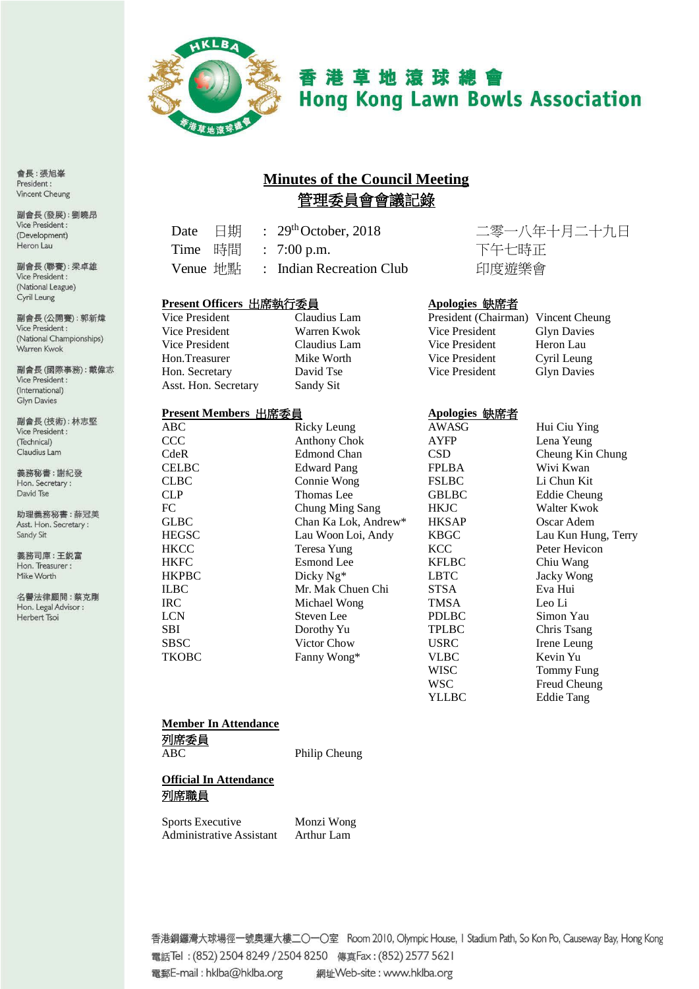

香港草地滾球總會 **Hong Kong Lawn Bowls Association** 

# **Minutes of the Council Meeting** 管理委員會會議記錄

Sandy Sit

| Date 日期  |  | $\therefore$ 29 <sup>th</sup> October, 2018 |
|----------|--|---------------------------------------------|
| Time 時間  |  | $\therefore$ 7:00 p.m.                      |
| Venue 地點 |  | : Indian Recreation Club                    |

# **Present Officers** 出席執行委員 **Apologies** 缺席者

| Vice President       |
|----------------------|
| Vice President       |
| Vice President       |
| Hon.Treasurer        |
| Hon. Secretary       |
| Asst. Hon. Secretary |

#### **Present Members** 出席委員 **Apologies** 缺席者

| IItstiilmeinutis 山市安良 |                      | Ароюдісь шула-т |                     |
|-----------------------|----------------------|-----------------|---------------------|
| ABC                   | Ricky Leung          | AWASG           | Hui Ciu Ying        |
| CCC                   | <b>Anthony Chok</b>  | <b>AYFP</b>     | Lena Yeung          |
| CdeR                  | <b>Edmond Chan</b>   | <b>CSD</b>      | Cheung Kin Chung    |
| <b>CELBC</b>          | <b>Edward Pang</b>   | <b>FPLBA</b>    | Wivi Kwan           |
| <b>CLBC</b>           | Connie Wong          | <b>FSLBC</b>    | Li Chun Kit         |
| CLP                   | Thomas Lee           | <b>GBLBC</b>    | <b>Eddie Cheung</b> |
| FC                    | Chung Ming Sang      | <b>HKJC</b>     | Walter Kwok         |
| <b>GLBC</b>           | Chan Ka Lok, Andrew* | <b>HKSAP</b>    | Oscar Adem          |
| <b>HEGSC</b>          | Lau Woon Loi, Andy   | <b>KBGC</b>     | Lau Kun Hung, Terry |
| HKCC                  | Teresa Yung          | <b>KCC</b>      | Peter Hevicon       |
| <b>HKFC</b>           | Esmond Lee           | <b>KFLBC</b>    | Chiu Wang           |
| <b>HKPBC</b>          | Dicky $Ng^*$         | <b>LBTC</b>     | Jacky Wong          |
| <b>ILBC</b>           | Mr. Mak Chuen Chi    | <b>STSA</b>     | Eva Hui             |
| <b>IRC</b>            | Michael Wong         | <b>TMSA</b>     | Leo Li              |
| <b>LCN</b>            | Steven Lee           | <b>PDLBC</b>    | Simon Yau           |
| <b>SBI</b>            | Dorothy Yu           | <b>TPLBC</b>    | Chris Tsang         |
| SBSC                  | Victor Chow          | <b>USRC</b>     | Irene Leung         |
| TKOBC                 | Fanny Wong*          | <b>VLBC</b>     | Kevin Yu            |
|                       |                      | WISC            | Tommy Fung          |

二零一八年十月二十九日 下午七時正 印度遊樂會

| Claudius Lam |                |                                     |
|--------------|----------------|-------------------------------------|
| Warren Kwok  | Vice President | <b>Glyn Davies</b>                  |
| Claudius Lam | Vice President | Heron Lau                           |
| Mike Worth   | Vice President | Cyril Leung                         |
| David Tse    | Vice President | <b>Glyn Davies</b>                  |
|              |                | President (Chairman) Vincent Cheung |

| AWASG | Hui Ciu Ying       |
|-------|--------------------|
| AYFP  | Lena Yeung         |
| CSD   | Cheung Kin Chung   |
| FPLBA | Wivi Kwan          |
| FSLBC | Li Chun Kit        |
| GBLBC | Eddie Cheung       |
| HKJC  | Walter Kwok        |
| HKSAP | Oscar Adem         |
| KBGC  | Lau Kun Hung, Ter. |
| KCC   | Peter Hevicon      |
| KFLBC | Chiu Wang          |
| LBTC  | Jacky Wong         |
| STSA  | Eva Hui            |
| TMSA  | Leo Li             |
| PDLBC | Simon Yau          |
| TPLBC | Chris Tsang        |
| USRC  | Irene Leung        |
| VLBC  | Kevin Yu           |
| WISC  | Tommy Fung         |
| WSC   | Freud Cheung       |
| YLLBC | <b>Eddie Tang</b>  |
|       |                    |

# **Member In Attendance** 列席委員

ABC Philip Cheung

**Official In Attendance** 列席職員

Sports Executive Monzi Wong Administrative Assistant Arthur Lam

副會長(技術):林志堅 Vice President : (Technical) Claudius Lam

義務秘書:謝紀發 Hon. Secretary: David Tse

助理義務秘書:薛冠美 Asst. Hon. Secretary: Sandy Sit

義務司庫:王鋭富 Hon. Treasurer: Mike Worth

名譽法律顧問:蔡克剛 Hon. Legal Advisor : Herbert Tsoi

> 香港銅鑼灣大球場徑一號奧運大樓二〇一〇室 Room 2010, Olympic House, I Stadium Path, So Kon Po, Causeway Bay, Hong Kong 電話Tel: (852) 2504 8249 / 2504 8250 傳真Fax: (852) 2577 5621 電郵E-mail: hklba@hklba.org 網址Web-site: www.hklba.org

會長:張旭峯 President: Vincent Cheung

副會長(發展):劉曉昂 Vice President : (Development) Heron Lau

副會長(聯賽):梁卓雄 Vice President : (National League) Cyril Leung

副會長(公開賽): 郭新煒 Vice President : (National Championships) Warren Kwok

副會長(國際事務):戴偉志 Vice President : (International) **Glyn Davies**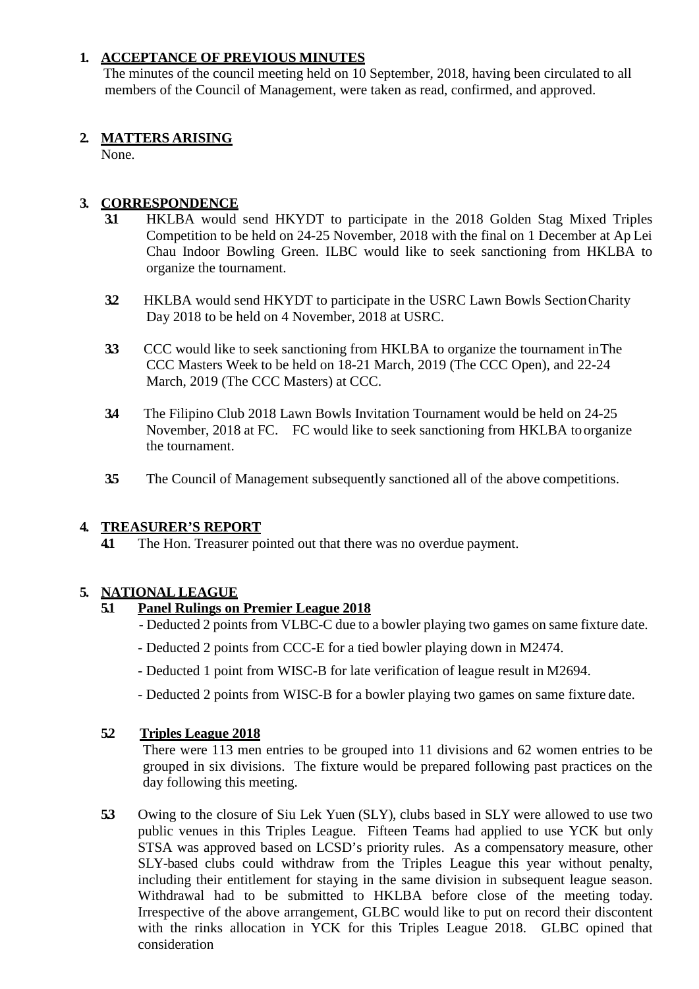# **1. ACCEPTANCE OF PREVIOUS MINUTES**

The minutes of the council meeting held on 10 September, 2018, having been circulated to all members of the Council of Management, were taken as read, confirmed, and approved.

# **2. MATTERS ARISING**

None.

# **3. CORRESPONDENCE**

- **3.1** HKLBA would send HKYDT to participate in the 2018 Golden Stag Mixed Triples Competition to be held on 24-25 November, 2018 with the final on 1 December at Ap Lei Chau Indoor Bowling Green. ILBC would like to seek sanctioning from HKLBA to organize the tournament.
- **3.2** HKLBA would send HKYDT to participate in the USRC Lawn Bowls SectionCharity Day 2018 to be held on 4 November, 2018 at USRC.
- **3.3** CCC would like to seek sanctioning from HKLBA to organize the tournament inThe CCC Masters Week to be held on 18-21 March, 2019 (The CCC Open), and 22-24 March, 2019 (The CCC Masters) at CCC.
- **3.4** The Filipino Club 2018 Lawn Bowls Invitation Tournament would be held on 24-25 November, 2018 at FC. FC would like to seek sanctioning from HKLBA toorganize the tournament.
- **3.5** The Council of Management subsequently sanctioned all of the above competitions.

# **4. TREASURER'S REPORT**

**4.1** The Hon. Treasurer pointed out that there was no overdue payment.

# **5. NATIONAL LEAGUE**

# **5.1 Panel Rulings on Premier League 2018**

- Deducted 2 points from VLBC-C due to a bowler playing two games on same fixture date.
- Deducted 2 points from CCC-E for a tied bowler playing down in M2474.
- Deducted 1 point from WISC-B for late verification of league result in M2694.
- Deducted 2 points from WISC-B for a bowler playing two games on same fixture date.

# **5.2 Triples League 2018**

There were 113 men entries to be grouped into 11 divisions and 62 women entries to be grouped in six divisions. The fixture would be prepared following past practices on the day following this meeting.

**5.3** Owing to the closure of Siu Lek Yuen (SLY), clubs based in SLY were allowed to use two public venues in this Triples League. Fifteen Teams had applied to use YCK but only STSA was approved based on LCSD's priority rules. As a compensatory measure, other SLY-based clubs could withdraw from the Triples League this year without penalty, including their entitlement for staying in the same division in subsequent league season. Withdrawal had to be submitted to HKLBA before close of the meeting today. Irrespective of the above arrangement, GLBC would like to put on record their discontent with the rinks allocation in YCK for this Triples League 2018. GLBC opined that consideration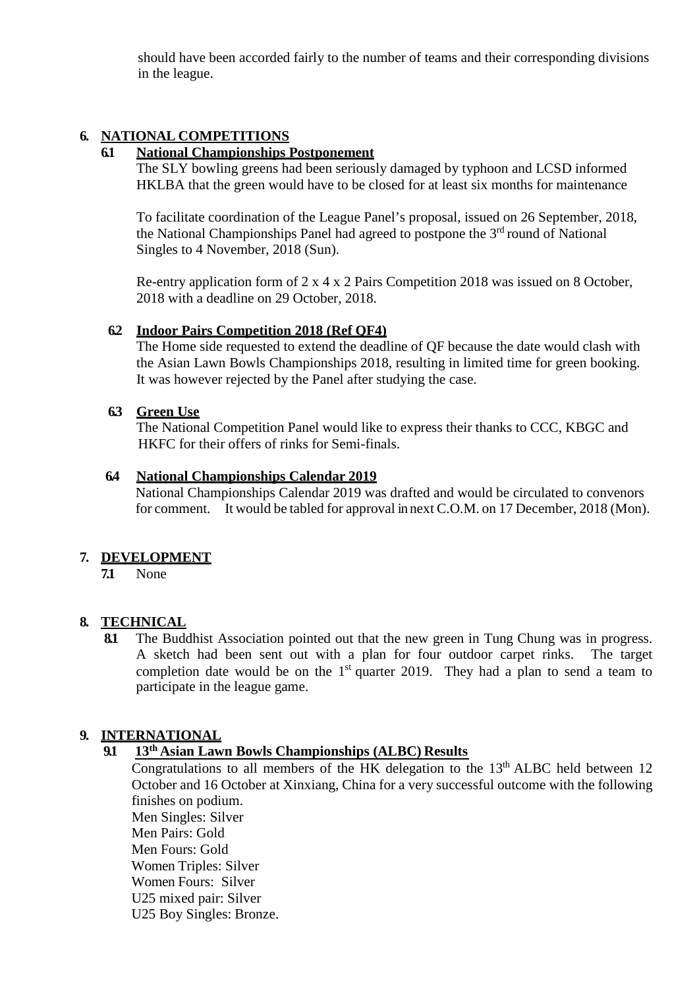should have been accorded fairly to the number of teams and their corresponding divisions in the league.

# **6. NATIONAL COMPETITIONS**

### **6.1 National Championships Postponement**

The SLY bowling greens had been seriously damaged by typhoon and LCSD informed HKLBA that the green would have to be closed for at least six months for maintenance

To facilitate coordination of the League Panel's proposal, issued on 26 September, 2018, the National Championships Panel had agreed to postpone the  $3<sup>rd</sup>$  round of National Singles to 4 November, 2018 (Sun).

Re-entry application form of 2 x 4 x 2 Pairs Competition 2018 was issued on 8 October, 2018 with a deadline on 29 October, 2018.

### **6.2 Indoor Pairs Competition 2018 (Ref QF4)**

The Home side requested to extend the deadline of QF because the date would clash with the Asian Lawn Bowls Championships 2018, resulting in limited time for green booking. It was however rejected by the Panel after studying the case.

### **6.3 Green Use**

The National Competition Panel would like to express their thanks to CCC, KBGC and HKFC for their offers of rinks for Semi-finals.

#### **6.4 National Championships Calendar 2019**

National Championships Calendar 2019 was drafted and would be circulated to convenors for comment. It would be tabled for approval in next C.O.M. on 17 December, 2018 (Mon).

# **7. DEVELOPMENT**

**7.1** None

# **8. TECHNICAL**

The Buddhist Association pointed out that the new green in Tung Chung was in progress. A sketch had been sent out with a plan for four outdoor carpet rinks. The target completion date would be on the  $1<sup>st</sup>$  quarter 2019. They had a plan to send a team to participate in the league game.

# **9. INTERNATIONAL**

# **9.1 13th Asian Lawn Bowls Championships (ALBC) Results**

Congratulations to all members of the HK delegation to the  $13<sup>th</sup>$  ALBC held between 12 October and 16 October at Xinxiang, China for a very successful outcome with the following finishes on podium. Men Singles: Silver Men Pairs: Gold Men Fours: Gold Women Triples: Silver Women Fours: Silver U25 mixed pair: Silver U25 Boy Singles: Bronze.